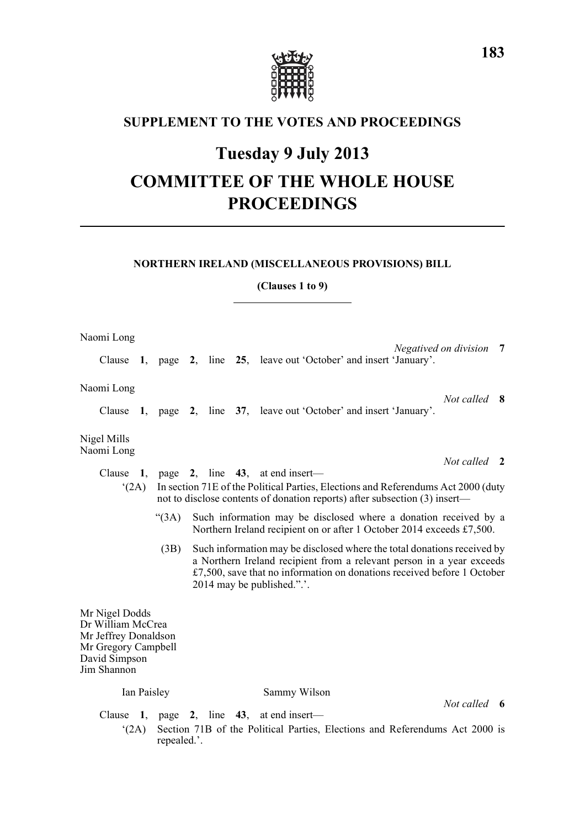

# **SUPPLEMENT TO THE VOTES AND PROCEEDINGS**

# **Tuesday 9 July 2013**

# **COMMITTEE OF THE WHOLE HOUSE PROCEEDINGS**

#### **NORTHERN IRELAND (MISCELLANEOUS PROVISIONS) BILL**

### **(Clauses 1 to 9)**

| Naomi Long                                                                                                         |                                                                                                                                                                                                                                    |                                                                                                                                                                                                                                                                      |  |  |  |                                                                                                                                           |                         |  |  |  |
|--------------------------------------------------------------------------------------------------------------------|------------------------------------------------------------------------------------------------------------------------------------------------------------------------------------------------------------------------------------|----------------------------------------------------------------------------------------------------------------------------------------------------------------------------------------------------------------------------------------------------------------------|--|--|--|-------------------------------------------------------------------------------------------------------------------------------------------|-------------------------|--|--|--|
|                                                                                                                    |                                                                                                                                                                                                                                    |                                                                                                                                                                                                                                                                      |  |  |  | Clause 1, page 2, line 25, leave out 'October' and insert 'January'.                                                                      | Negatived on division 7 |  |  |  |
| Naomi Long                                                                                                         |                                                                                                                                                                                                                                    |                                                                                                                                                                                                                                                                      |  |  |  |                                                                                                                                           |                         |  |  |  |
| Clause                                                                                                             |                                                                                                                                                                                                                                    |                                                                                                                                                                                                                                                                      |  |  |  | 1, page 2, line 37, leave out 'October' and insert 'January'.                                                                             | Not called 8            |  |  |  |
| Nigel Mills<br>Naomi Long                                                                                          |                                                                                                                                                                                                                                    |                                                                                                                                                                                                                                                                      |  |  |  |                                                                                                                                           |                         |  |  |  |
|                                                                                                                    |                                                                                                                                                                                                                                    |                                                                                                                                                                                                                                                                      |  |  |  |                                                                                                                                           | Not called 2            |  |  |  |
|                                                                                                                    | Clause 1, page 2, line $43$ , at end insert—<br>In section 71E of the Political Parties, Elections and Referendums Act 2000 (duty<br>$^{\circ}$ (2A)<br>not to disclose contents of donation reports) after subsection (3) insert— |                                                                                                                                                                                                                                                                      |  |  |  |                                                                                                                                           |                         |  |  |  |
|                                                                                                                    |                                                                                                                                                                                                                                    | (3A)                                                                                                                                                                                                                                                                 |  |  |  | Such information may be disclosed where a donation received by a<br>Northern Ireland recipient on or after 1 October 2014 exceeds £7,500. |                         |  |  |  |
|                                                                                                                    |                                                                                                                                                                                                                                    | Such information may be disclosed where the total donations received by<br>(3B)<br>a Northern Ireland recipient from a relevant person in a year exceeds<br>$£7,500$ , save that no information on donations received before 1 October<br>2014 may be published.".'. |  |  |  |                                                                                                                                           |                         |  |  |  |
| Mr Nigel Dodds<br>Dr William McCrea<br>Mr Jeffrey Donaldson<br>Mr Gregory Campbell<br>David Simpson<br>Jim Shannon |                                                                                                                                                                                                                                    |                                                                                                                                                                                                                                                                      |  |  |  |                                                                                                                                           |                         |  |  |  |
| Ian Paisley                                                                                                        |                                                                                                                                                                                                                                    |                                                                                                                                                                                                                                                                      |  |  |  | Sammy Wilson                                                                                                                              |                         |  |  |  |
| Clause                                                                                                             |                                                                                                                                                                                                                                    | 1, page 2, line                                                                                                                                                                                                                                                      |  |  |  | 43, at end insert—                                                                                                                        | Not called 6            |  |  |  |
| Section 71B of the Political Parties, Elections and Referendums Act 2000 is<br>$^{\circ}$ (2A)<br>repealed.'.      |                                                                                                                                                                                                                                    |                                                                                                                                                                                                                                                                      |  |  |  |                                                                                                                                           |                         |  |  |  |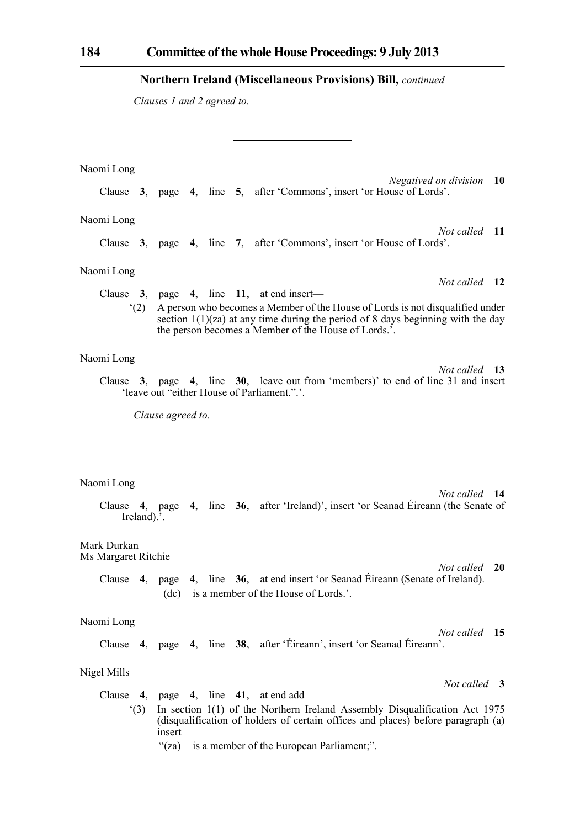*Clauses 1 and 2 agreed to.*

Naomi Long *Negatived on division* **10** Clause **3**, page **4**, line **5**, after 'Commons', insert 'or House of Lords'. Naomi Long *Not called* **11** Clause **3**, page **4**, line **7**, after 'Commons', insert 'or House of Lords'. Naomi Long *Not called* **12** Clause **3**, page **4**, line **11**, at end insert— '(2) A person who becomes a Member of the House of Lords is not disqualified under section  $1(1)(za)$  at any time during the period of 8 days beginning with the day the person becomes a Member of the House of Lords.'. Naomi Long *Not called* **13** Clause **3**, page **4**, line **30**, leave out from 'members)' to end of line 31 and insert 'leave out "either House of Parliament.".'. *Clause agreed to.* Naomi Long *Not called* **14** Clause **4**, page **4**, line **36**, after 'Ireland)', insert 'or Seanad Éireann (the Senate of Ireland).'. Mark Durkan Ms Margaret Ritchie *Not called* **20** Clause **4**, page **4**, line **36**, at end insert 'or Seanad Éireann (Senate of Ireland). (dc) is a member of the House of Lords.'. Naomi Long *Not called* **15** Clause **4**, page **4**, line **38**, after 'Éireann', insert 'or Seanad Éireann'. Nigel Mills *Not called* **3** Clause **4**, page **4**, line **41**, at end add—

'(3) In section 1(1) of the Northern Ireland Assembly Disqualification Act 1975 (disqualification of holders of certain offices and places) before paragraph (a) insert—

"(za) is a member of the European Parliament;".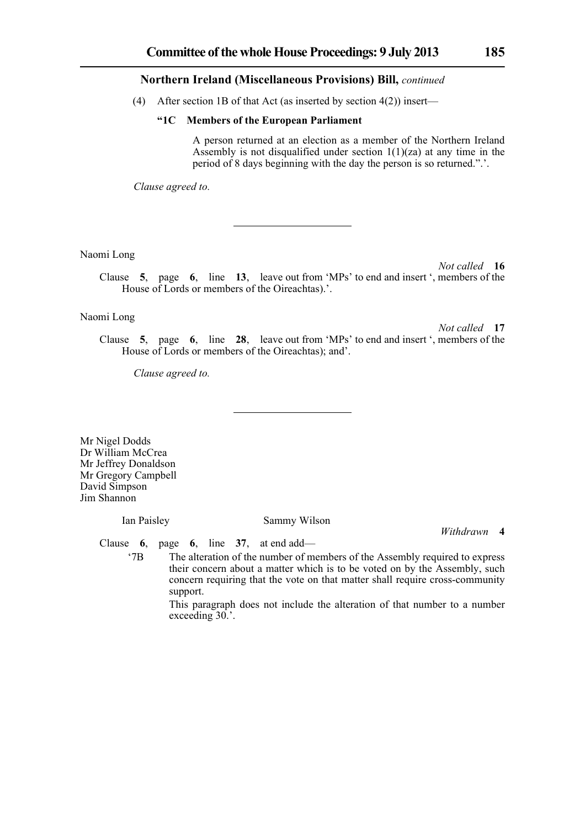(4) After section 1B of that Act (as inserted by section  $4(2)$ ) insert—

#### **"1C Members of the European Parliament**

A person returned at an election as a member of the Northern Ireland Assembly is not disqualified under section  $1(1)(za)$  at any time in the period of 8 days beginning with the day the person is so returned.".'.

*Clause agreed to.*

Naomi Long

*Not called* **16** Clause **5**, page **6**, line **13**, leave out from 'MPs' to end and insert ', members of the House of Lords or members of the Oireachtas).'.

#### Naomi Long

*Not called* **17**

Clause **5**, page **6**, line **28**, leave out from 'MPs' to end and insert ', members of the House of Lords or members of the Oireachtas); and'.

*Clause agreed to.*

Mr Nigel Dodds Dr William McCrea Mr Jeffrey Donaldson Mr Gregory Campbell David Simpson Jim Shannon

#### Ian Paisley Sammy Wilson

*Withdrawn* **4**

Clause **6**, page **6**, line **37**, at end add—

'7B The alteration of the number of members of the Assembly required to express their concern about a matter which is to be voted on by the Assembly, such concern requiring that the vote on that matter shall require cross-community support.

> This paragraph does not include the alteration of that number to a number exceeding 30.'.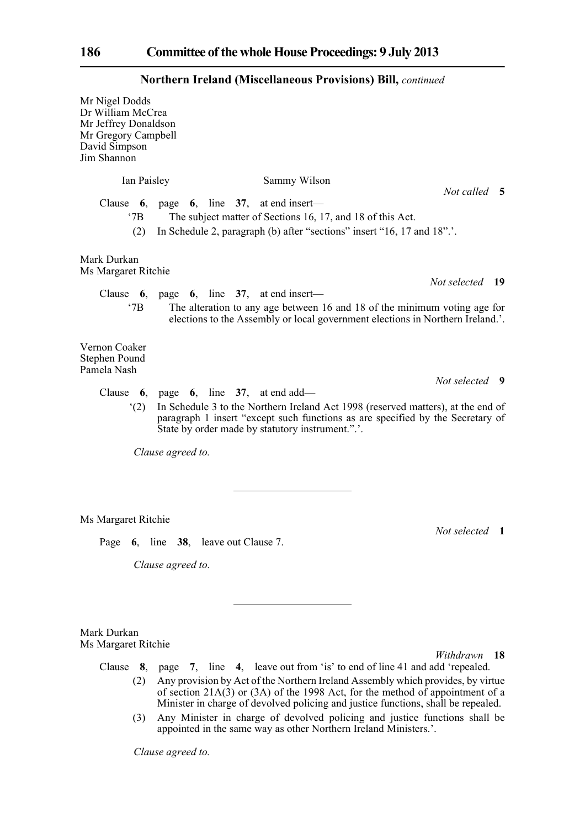|                                                                                                                    | <b>INOI UIEI II II EIAIIU (MISCEHAIIEOUS FTOVISIOIIS) DIII,</b> <i>conunuea</i>                                                                                                                                                                                  |                |  |  |  |  |  |  |
|--------------------------------------------------------------------------------------------------------------------|------------------------------------------------------------------------------------------------------------------------------------------------------------------------------------------------------------------------------------------------------------------|----------------|--|--|--|--|--|--|
| Mr Nigel Dodds<br>Dr William McCrea<br>Mr Jeffrey Donaldson<br>Mr Gregory Campbell<br>David Simpson<br>Jim Shannon |                                                                                                                                                                                                                                                                  |                |  |  |  |  |  |  |
| Ian Paisley                                                                                                        | Sammy Wilson                                                                                                                                                                                                                                                     | Not called 5   |  |  |  |  |  |  |
| $^{\circ}$ 7B<br>(2)                                                                                               | Clause $6$ , page $6$ , line $37$ , at end insert-<br>The subject matter of Sections 16, 17, and 18 of this Act.<br>In Schedule 2, paragraph (b) after "sections" insert "16, 17 and 18"                                                                         |                |  |  |  |  |  |  |
| Mark Durkan<br>Ms Margaret Ritchie                                                                                 |                                                                                                                                                                                                                                                                  |                |  |  |  |  |  |  |
| $^{\circ}7B$                                                                                                       | Not selected 19<br>Clause $6$ , page $6$ , line $37$ , at end insert—<br>The alteration to any age between 16 and 18 of the minimum voting age for<br>elections to the Assembly or local government elections in Northern Ireland.'.                             |                |  |  |  |  |  |  |
| Vernon Coaker<br>Stephen Pound<br>Pamela Nash                                                                      |                                                                                                                                                                                                                                                                  | Not selected 9 |  |  |  |  |  |  |
| (2)                                                                                                                | Clause 6, page 6, line 37, at end add—<br>In Schedule 3 to the Northern Ireland Act 1998 (reserved matters), at the end of<br>paragraph 1 insert "except such functions as are specified by the Secretary of<br>State by order made by statutory instrument.".'. |                |  |  |  |  |  |  |
|                                                                                                                    | Clause agreed to.                                                                                                                                                                                                                                                |                |  |  |  |  |  |  |
| Ms Margaret Ritchie<br>Page                                                                                        | 6, line 38, leave out Clause 7.                                                                                                                                                                                                                                  | Not selected 1 |  |  |  |  |  |  |
|                                                                                                                    | Clause agreed to.                                                                                                                                                                                                                                                |                |  |  |  |  |  |  |

Mark Durkan Ms Margaret Ritchie

*Withdrawn* **18**

- Clause **8**, page **7**, line **4**, leave out from 'is' to end of line 41 and add 'repealed. (2) Any provision by Act of the Northern Ireland Assembly which provides, by virtue of section 21A(3) or (3A) of the 1998 Act, for the method of appointment of a Minister in charge of devolved policing and justice functions, shall be repealed.
	- (3) Any Minister in charge of devolved policing and justice functions shall be appointed in the same way as other Northern Ireland Ministers.'.

*Clause agreed to.*